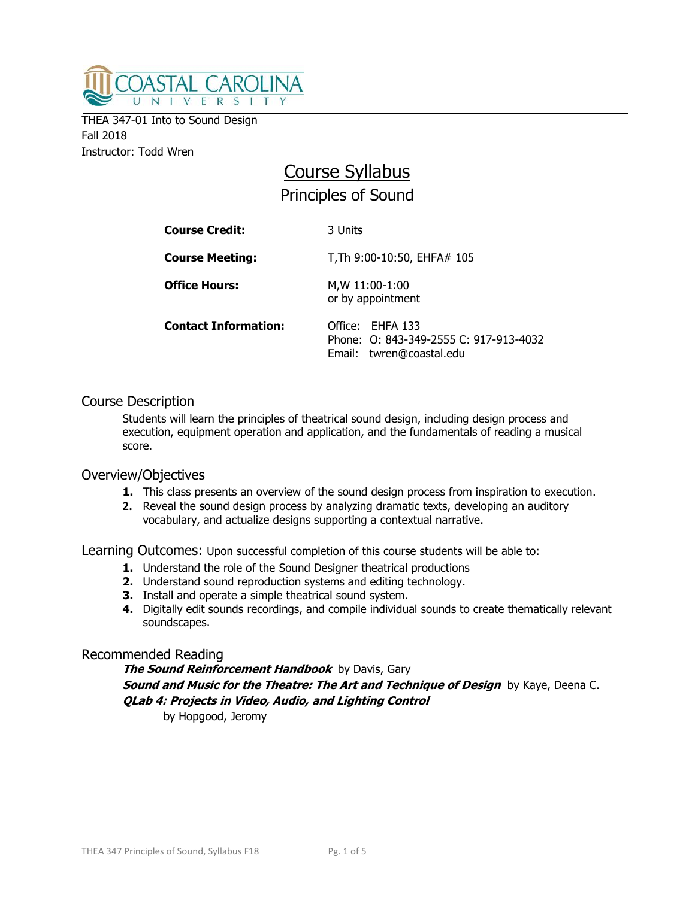

THEA 347-01 Into to Sound Design Fall 2018 Instructor: Todd Wren

# Course Syllabus Principles of Sound

| <b>Course Credit:</b>       | 3 Units                                                                                |
|-----------------------------|----------------------------------------------------------------------------------------|
| <b>Course Meeting:</b>      | T, Th 9:00-10:50, EHFA# 105                                                            |
| <b>Office Hours:</b>        | M, W 11:00-1:00<br>or by appointment                                                   |
| <b>Contact Information:</b> | Office: EHFA 133<br>Phone: 0: 843-349-2555 C: 917-913-4032<br>Email: twren@coastal.edu |

## Course Description

Students will learn the principles of theatrical sound design, including design process and execution, equipment operation and application, and the fundamentals of reading a musical score.

## Overview/Objectives

- **1.** This class presents an overview of the sound design process from inspiration to execution.
- **2.** Reveal the sound design process by analyzing dramatic texts, developing an auditory vocabulary, and actualize designs supporting a contextual narrative.

Learning Outcomes: Upon successful completion of this course students will be able to:

- **1.** Understand the role of the Sound Designer theatrical productions
- **2.** Understand sound reproduction systems and editing technology.
- **3.** Install and operate a simple theatrical sound system.
- **4.** Digitally edit sounds recordings, and compile individual sounds to create thematically relevant soundscapes.

#### Recommended Reading

**The Sound Reinforcement Handbook** by Davis, Gary **Sound and Music for the Theatre: The Art and Technique of Design** by Kaye, Deena C. **QLab 4: Projects in Video, Audio, and Lighting Control** 

by Hopgood, Jeromy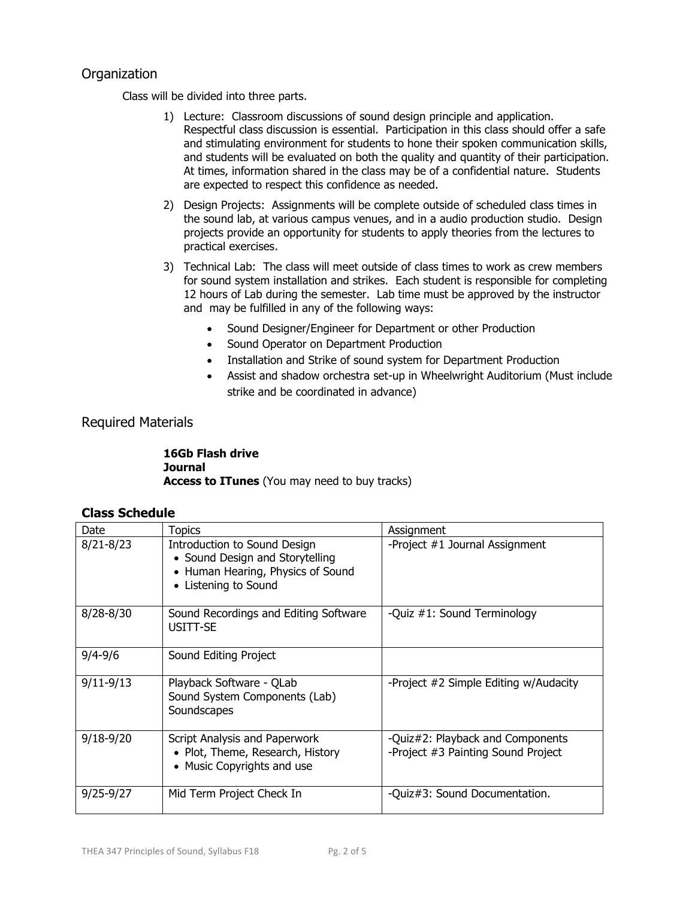## **Organization**

Class will be divided into three parts.

- 1) Lecture: Classroom discussions of sound design principle and application. Respectful class discussion is essential. Participation in this class should offer a safe and stimulating environment for students to hone their spoken communication skills, and students will be evaluated on both the quality and quantity of their participation. At times, information shared in the class may be of a confidential nature. Students are expected to respect this confidence as needed.
- 2) Design Projects: Assignments will be complete outside of scheduled class times in the sound lab, at various campus venues, and in a audio production studio. Design projects provide an opportunity for students to apply theories from the lectures to practical exercises.
- 3) Technical Lab: The class will meet outside of class times to work as crew members for sound system installation and strikes. Each student is responsible for completing 12 hours of Lab during the semester. Lab time must be approved by the instructor and may be fulfilled in any of the following ways:
	- Sound Designer/Engineer for Department or other Production
	- Sound Operator on Department Production
	- Installation and Strike of sound system for Department Production
	- Assist and shadow orchestra set-up in Wheelwright Auditorium (Must include strike and be coordinated in advance)

## Required Materials

**16Gb Flash drive Journal Access to ITunes** (You may need to buy tracks)

## **Class Schedule**

| Date          | Topics                                                                                                                       | Assignment                                                             |
|---------------|------------------------------------------------------------------------------------------------------------------------------|------------------------------------------------------------------------|
| $8/21 - 8/23$ | Introduction to Sound Design<br>• Sound Design and Storytelling<br>• Human Hearing, Physics of Sound<br>• Listening to Sound | -Project #1 Journal Assignment                                         |
| $8/28 - 8/30$ | Sound Recordings and Editing Software<br>USITT-SE                                                                            | -Quiz #1: Sound Terminology                                            |
| $9/4 - 9/6$   | Sound Editing Project                                                                                                        |                                                                        |
| $9/11 - 9/13$ | Playback Software - QLab<br>Sound System Components (Lab)<br>Soundscapes                                                     | -Project #2 Simple Editing w/Audacity                                  |
| $9/18 - 9/20$ | Script Analysis and Paperwork<br>• Plot, Theme, Research, History<br>• Music Copyrights and use                              | -Quiz#2: Playback and Components<br>-Project #3 Painting Sound Project |
| $9/25 - 9/27$ | Mid Term Project Check In                                                                                                    | -Quiz#3: Sound Documentation.                                          |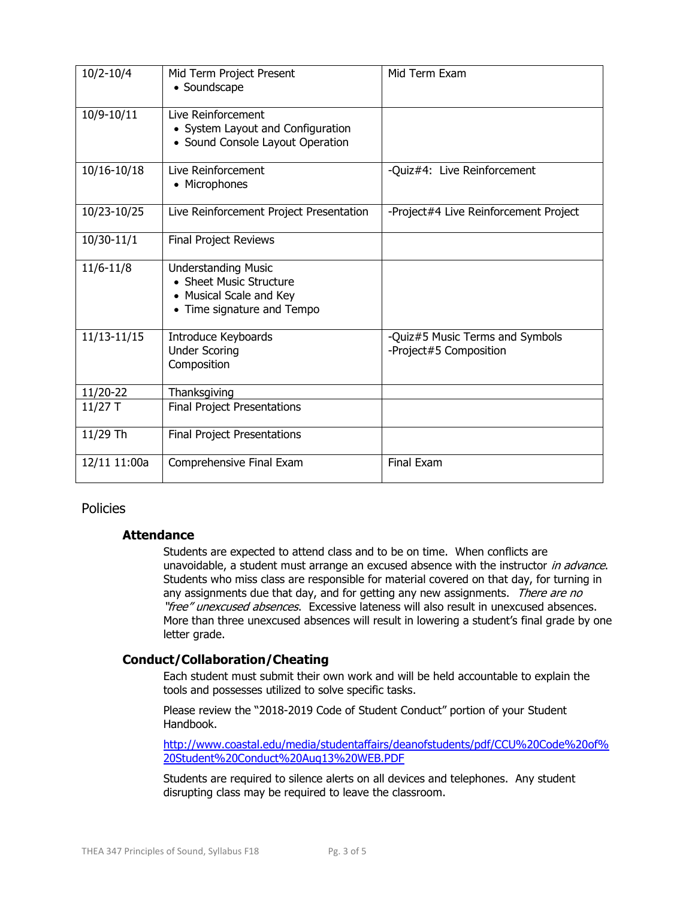| $10/2 - 10/4$   | Mid Term Project Present<br>• Soundscape                                                                       | Mid Term Exam                                             |
|-----------------|----------------------------------------------------------------------------------------------------------------|-----------------------------------------------------------|
| 10/9-10/11      | Live Reinforcement<br>• System Layout and Configuration<br>• Sound Console Layout Operation                    |                                                           |
| $10/16 - 10/18$ | Live Reinforcement<br>• Microphones                                                                            | -Quiz#4: Live Reinforcement                               |
| 10/23-10/25     | Live Reinforcement Project Presentation                                                                        | -Project#4 Live Reinforcement Project                     |
| 10/30-11/1      | Final Project Reviews                                                                                          |                                                           |
| $11/6 - 11/8$   | <b>Understanding Music</b><br>• Sheet Music Structure<br>• Musical Scale and Key<br>• Time signature and Tempo |                                                           |
| $11/13 - 11/15$ | Introduce Keyboards<br><b>Under Scoring</b><br>Composition                                                     | -Quiz#5 Music Terms and Symbols<br>-Project#5 Composition |
| 11/20-22        | Thanksgiving                                                                                                   |                                                           |
| $11/27$ T       | Final Project Presentations                                                                                    |                                                           |
| 11/29 Th        | <b>Final Project Presentations</b>                                                                             |                                                           |
| 12/11 11:00a    | Comprehensive Final Exam                                                                                       | <b>Final Exam</b>                                         |

## Policies

#### **Attendance**

Students are expected to attend class and to be on time. When conflicts are unavoidable, a student must arrange an excused absence with the instructor in advance. Students who miss class are responsible for material covered on that day, for turning in any assignments due that day, and for getting any new assignments. There are no "free" unexcused absences. Excessive lateness will also result in unexcused absences. More than three unexcused absences will result in lowering a student's final grade by one letter grade.

## **Conduct/Collaboration/Cheating**

Each student must submit their own work and will be held accountable to explain the tools and possesses utilized to solve specific tasks.

Please review the "2018-2019 Code of Student Conduct" portion of your Student Handbook.

[http://www.coastal.edu/media/studentaffairs/deanofstudents/pdf/CCU%20Code%20of%](http://www.coastal.edu/media/studentaffairs/deanofstudents/pdf/CCU%20Code%20of%20Student%20Conduct%20Aug13%20WEB.PDF) [20Student%20Conduct%20Aug13%20WEB.PDF](http://www.coastal.edu/media/studentaffairs/deanofstudents/pdf/CCU%20Code%20of%20Student%20Conduct%20Aug13%20WEB.PDF)

Students are required to silence alerts on all devices and telephones. Any student disrupting class may be required to leave the classroom.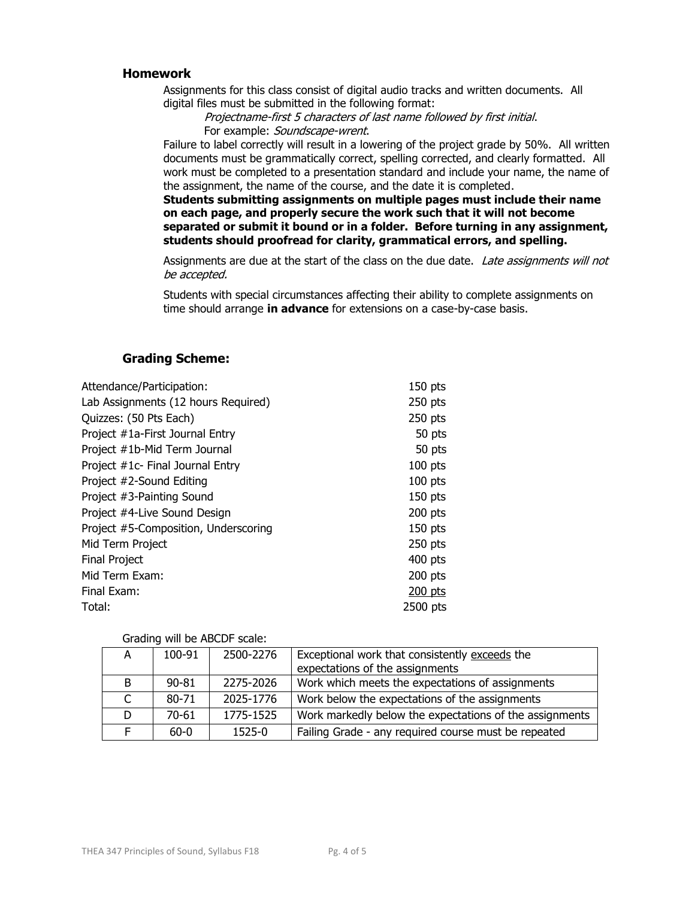#### **Homework**

Assignments for this class consist of digital audio tracks and written documents. All digital files must be submitted in the following format:

Projectname-first 5 characters of last name followed by first initial. For example: Soundscape-wrent.

Failure to label correctly will result in a lowering of the project grade by 50%. All written documents must be grammatically correct, spelling corrected, and clearly formatted. All work must be completed to a presentation standard and include your name, the name of the assignment, the name of the course, and the date it is completed.

**Students submitting assignments on multiple pages must include their name on each page, and properly secure the work such that it will not become separated or submit it bound or in a folder. Before turning in any assignment, students should proofread for clarity, grammatical errors, and spelling.** 

Assignments are due at the start of the class on the due date. Late assignments will not be accepted.

Students with special circumstances affecting their ability to complete assignments on time should arrange **in advance** for extensions on a case-by-case basis.

### **Grading Scheme:**

| $150$ pts |
|-----------|
| $250$ pts |
| $250$ pts |
| 50 pts    |
| 50 pts    |
| $100$ pts |
| $100$ pts |
| $150$ pts |
| $200$ pts |
| $150$ pts |
| $250$ pts |
| $400$ pts |
| $200$ pts |
| $200$ pts |
| 2500 pts  |
|           |

#### Grading will be ABCDF scale:

| A  | 100-91    | 2500-2276 | Exceptional work that consistently exceeds the<br>expectations of the assignments |
|----|-----------|-----------|-----------------------------------------------------------------------------------|
|    |           |           |                                                                                   |
| B  | $90 - 81$ | 2275-2026 | Work which meets the expectations of assignments                                  |
|    | $80 - 71$ | 2025-1776 | Work below the expectations of the assignments                                    |
| D. | $70 - 61$ | 1775-1525 | Work markedly below the expectations of the assignments                           |
|    | $60 - 0$  | 1525-0    | Failing Grade - any required course must be repeated                              |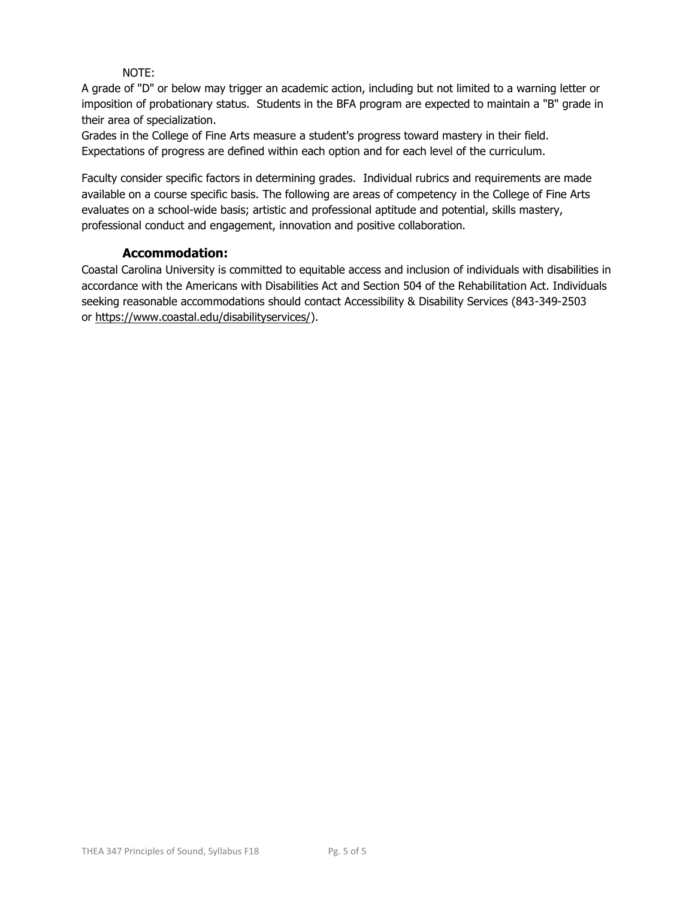## NOTE:

A grade of "D" or below may trigger an academic action, including but not limited to a warning letter or imposition of probationary status. Students in the BFA program are expected to maintain a "B" grade in their area of specialization.

Grades in the College of Fine Arts measure a student's progress toward mastery in their field. Expectations of progress are defined within each option and for each level of the curriculum.

Faculty consider specific factors in determining grades. Individual rubrics and requirements are made available on a course specific basis. The following are areas of competency in the College of Fine Arts evaluates on a school-wide basis; artistic and professional aptitude and potential, skills mastery, professional conduct and engagement, innovation and positive collaboration.

## **Accommodation:**

Coastal Carolina University is committed to equitable access and inclusion of individuals with disabilities in accordance with the Americans with Disabilities Act and Section 504 of the Rehabilitation Act. Individuals seeking reasonable accommodations should contact Accessibility & Disability Services (843-349-2503 or [https://www.coastal.edu/disabilityservices/\)](https://www.coastal.edu/disabilityservices/).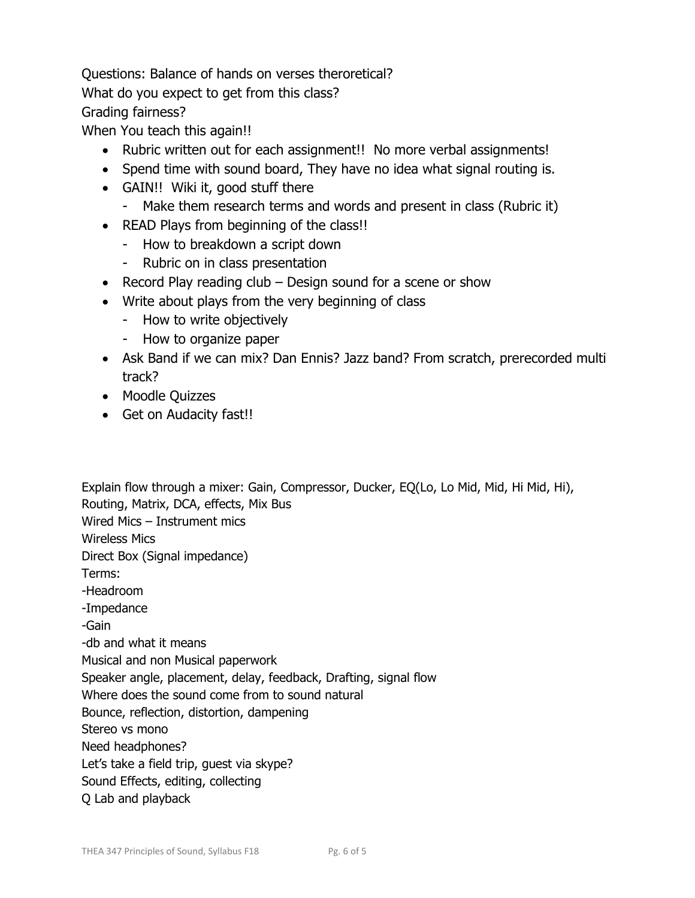Questions: Balance of hands on verses theroretical? What do you expect to get from this class? Grading fairness?

When You teach this again!!

- Rubric written out for each assignment!! No more verbal assignments!
- Spend time with sound board, They have no idea what signal routing is.
- GAIN!! Wiki it, good stuff there
	- Make them research terms and words and present in class (Rubric it)
- READ Plays from beginning of the class!!
	- How to breakdown a script down
	- Rubric on in class presentation
- Record Play reading club Design sound for a scene or show
- Write about plays from the very beginning of class
	- How to write objectively
	- How to organize paper
- Ask Band if we can mix? Dan Ennis? Jazz band? From scratch, prerecorded multi track?
- Moodle Quizzes
- Get on Audacity fast!!

Explain flow through a mixer: Gain, Compressor, Ducker, EQ(Lo, Lo Mid, Mid, Hi Mid, Hi), Routing, Matrix, DCA, effects, Mix Bus Wired Mics – Instrument mics Wireless Mics Direct Box (Signal impedance) Terms: -Headroom -Impedance -Gain -db and what it means Musical and non Musical paperwork Speaker angle, placement, delay, feedback, Drafting, signal flow Where does the sound come from to sound natural Bounce, reflection, distortion, dampening Stereo vs mono Need headphones? Let's take a field trip, guest via skype? Sound Effects, editing, collecting Q Lab and playback